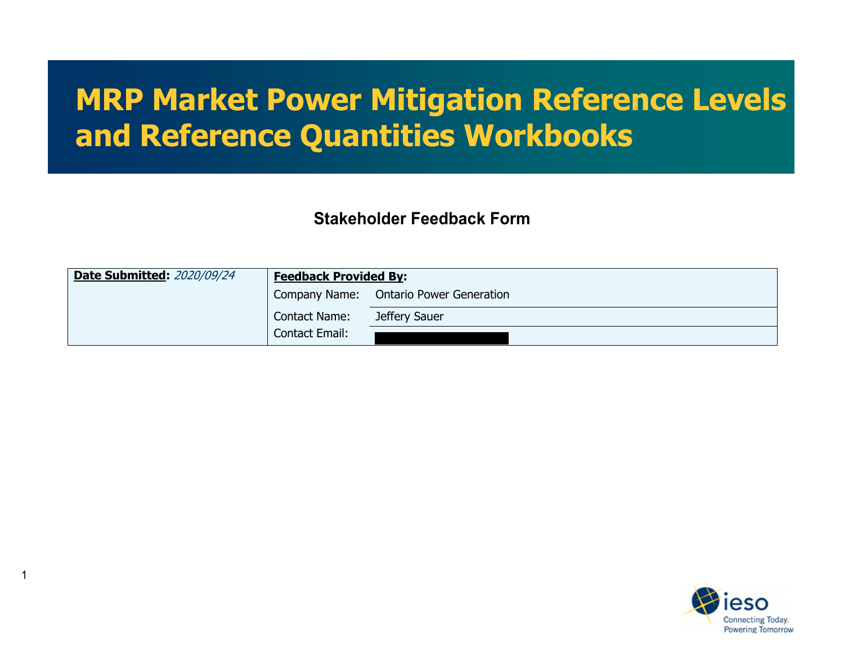# **MRP Market Power Mitigation Reference Levels and Reference Quantities Workbooks**

**Stakeholder Feedback Form**

| <b>Date Submitted: 2020/09/24</b> | <b>Feedback Provided By:</b> |                                        |
|-----------------------------------|------------------------------|----------------------------------------|
|                                   |                              | Company Name: Ontario Power Generation |
|                                   | <b>Contact Name:</b>         | Jeffery Sauer                          |
|                                   | Contact Email:               |                                        |

1

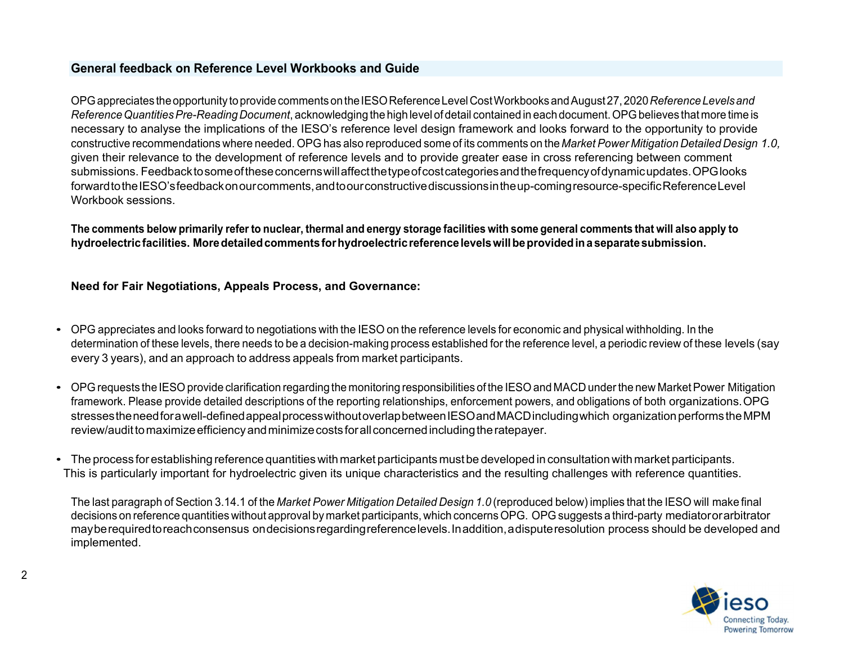# **General feedback on Reference Level Workbooks and Guide**

OPGappreciates the opportunity to providecommentsontheIESOReferenceLevelCostWorkbooksandAugust27,2020*ReferenceLevelsand Reference Quantities Pre-Reading Document*, acknowledging the high level of detail contained in each document. OPG believes that more time is necessary to analyse the implications of the IESO's reference level design framework and looks forward to the opportunity to provide constructive recommendations where needed. OPG has also reproduced some of its comments on the *Market Power Mitigation Detailed Design 1.0,*  given their relevance to the development of reference levels and to provide greater ease in cross referencing between comment submissions. Feedbacktosomeoftheseconcernswillaffectthetypeofcostcategoriesandthefrequencyofdynamicupdates.OPGlooks forwardtothe IESO's feedbackonourcomments,andtoourconstructivediscussionsintheup-comingresource-specificReferenceLevel Workbook sessions.

**The comments below primarily refer to nuclear, thermal and energy storage facilities with some general comments that will also apply to hydroelectricfacilities. Moredetailedcomments for hydroelectricreferencelevelswillbeprovidedin a separatesubmission.**

## **Need for Fair Negotiations, Appeals Process, and Governance:**

- OPG appreciates and looks forward to negotiations with the IESO on the reference levels for economic and physical withholding. In the determination of these levels, there needs to be a decision-making process established for the reference level, a periodic review of these levels (say every 3 years), and an approach to address appeals from market participants.
- OPG requests the IESO provide clarification regarding the monitoring responsibilities of the IESO and MACD under the new Market Power Mitigation framework. Please provide detailed descriptions of the reporting relationships, enforcement powers, and obligations of both organizations.OPG stressestheneedfor a well-definedappealprocesswithoutoverlapbetween IESO andMACDincludingwhich organizationperformstheMPM review/audit to maximize efficiency and minimize costs for all concerned including the ratepayer.
- The process forestablishing reference quantities withmarket participants mustbe developed in consultation withmarket participants. This is particularly important for hydroelectric given its unique characteristics and the resulting challenges with reference quantities.

The last paragraph of Section 3.14.1 of the *Market Power Mitigation Detailed Design 1.0* (reproduced below) implies that the IESO will make final decisions on reference quantities without approval by market participants, which concerns OPG. OPG suggests a third-party mediatororarbitrator mayberequiredtoreachconsensus ondecisionsregardingreferencelevels.Inaddition, a disputeresolution process should be developed and implemented.

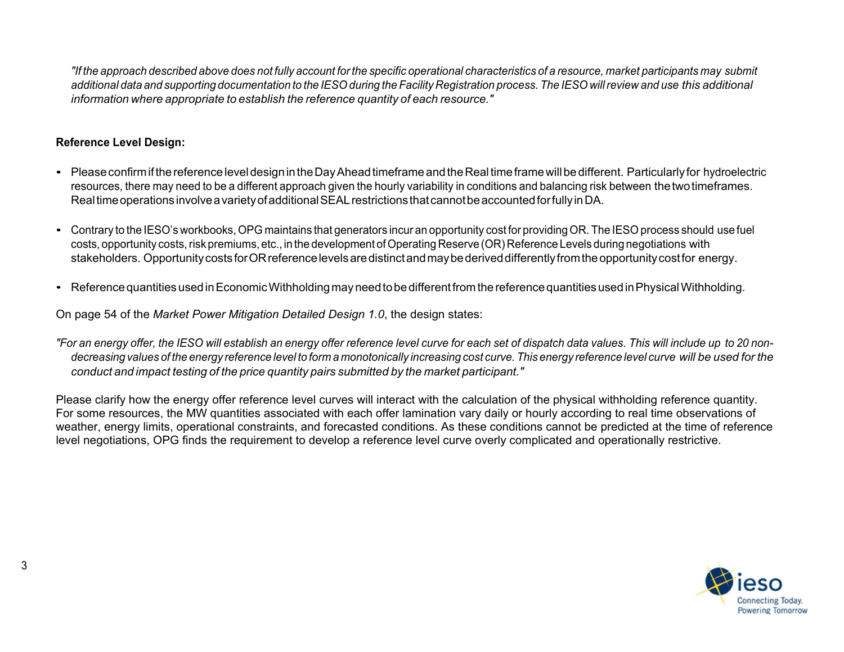"If the approach described above does not fully account for the specific operational characteristics of a resource, market participants may submit additional data and supporting documentation to the IESO during the Facility Registration process. The IESO will review and use this additional *information where appropriate to establish the reference quantity of each resource."*

# **Reference Level Design:**

- PleaseconfirmifthereferenceleveldesignintheDayAheadtimeframeandtheRealtimeframewillbedifferent. Particularly for hydroelectric resources, there may need to be a different approach given the hourly variability in conditions and balancing risk between thetwotimeframes. Realtimeoperationsinvolve a varietyofadditional SEAL restrictionsthatcannotbeaccountedforfullyinDA.
- Contrary to the IESO's workbooks,OPG maintains that generators incur an opportunity cost for providing OR. The IESO process should use fuel costs, opportunity costs,risk premiums, etc., in the development of Operating Reserve (OR) Reference Levels during negotiations with stakeholders. OpportunitycostsforORreferencelevels are distinctandmaybederiveddifferentlyfromtheopportunitycostfor energy.
- Reference quantities used in Economic Withholding may need to be different from the reference quantities used in Physical Withholding.

On page 54 of the *Market Power Mitigation Detailed Design 1.0*, the design states:

"For an energy offer, the IESO will establish an energy offer reference level curve for each set of dispatch data values. This will include up to 20 nondecreasing values of the energy reference level to form a monotonically increasing cost curve. This energy reference level curve will be used for the *conduct and impact testing of the price quantity pairs submitted by the market participant."*

Please clarify how the energy offer reference level curves will interact with the calculation of the physical withholding reference quantity. For some resources, the MW quantities associated with each offer lamination vary daily or hourly according to real time observations of weather, energy limits, operational constraints, and forecasted conditions. As these conditions cannot be predicted at the time of reference level negotiations, OPG finds the requirement to develop a reference level curve overly complicated and operationally restrictive.

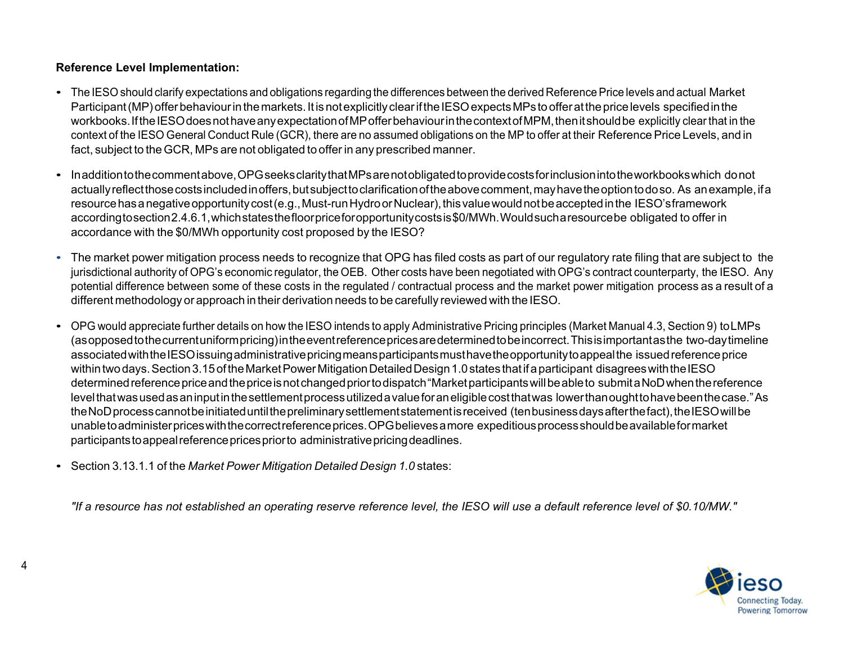# **Reference Level Implementation:**

- The IESO should clarify expectations and obligations regarding the differences between the derived Reference Price levels and actual Market Participant (MP) offer behaviour in the markets. It is not explicitly clear if the IESO expects MPs to offer at the price levels specified in the workbooks.Ifthe IESO doesnothaveanyexpectationofMPofferbehaviourinthecontextofMPM,thenitshouldbe explicitly clearthat in the context of the IESO General Conduct Rule (GCR), there are no assumed obligations on the MP to offer at their Reference Price Levels, and in fact, subject to theGCR, MPs are not obligated to offer in any prescribed manner.
- Inadditiontothecommentabove,OPGseeksclaritythatMPs are notobligatedtoprovidecostsforinclusionintotheworkbookswhich donot actually reflect those costs included in offers, but subject to clarification of the above comment, may have the option to do so. As an example, if a resource has a negative opportunity cost (e.g., Must-run Hydro or Nuclear), this value would not be accepted in the IESO's framework accordingtosection2.4.6.1,whichstatesthefloor price foropportunitycostsis\$0/MWh.Wouldsuch a resource be obligated to offer in accordance with the \$0/MWh opportunity cost proposed by the IESO?
- The market power mitigation process needs to recognize that OPG has filed costs as part of our regulatory rate filing that are subject to the jurisdictional authority of OPG's economic regulator, the OEB. Other costs have been negotiated with OPG's contract counterparty, the IESO. Any potential difference between some of these costs in the regulated / contractual process and the market power mitigation process as a result of a different methodology or approach in their derivation needs to be carefully reviewed with the IESO.
- OPG would appreciate further details on how the IESO intends to apply Administrative Pricing principles (Market Manual 4.3, Section 9) toLMPs (as opposedtothecurrentuniformpricing)intheeventreferenceprices are determinedtobeincorrect.Thisisimportantasthe two-daytimeline associatedwiththe IESO issuingadministrativepricingmeansparticipantsmusthavetheopportunitytoappealthe issuedreference price within two days. Section 3.15 of the Market Power Mitigation Detailed Design 1.0 states that if a participant disagrees with the IESO determined reference price and the price is not changed prior to dispatch "Market participants will be able to submit a NoD when the reference levelthatwasusedasaninputinthesettlementprocessutilized a valueforaneligiblecostthatwas lowerthanoughttohavebeenthecase." As the NoD process cannot be initiated until the preliminary settlement statement is received (ten business days after the fact), the IESO will be unabletoadministerpriceswiththe correct referenceprices.OPGbelieves a more expeditiousprocessshouldbeavailableformarket participantstoappealreferencepricespriorto administrativepricingdeadlines.
- Section 3.13.1.1 of the *Market Power Mitigation Detailed Design 1.0* states:

*"If a resource has not established an operating reserve reference level, the IESO will use a default reference level of \$0.10/MW."*

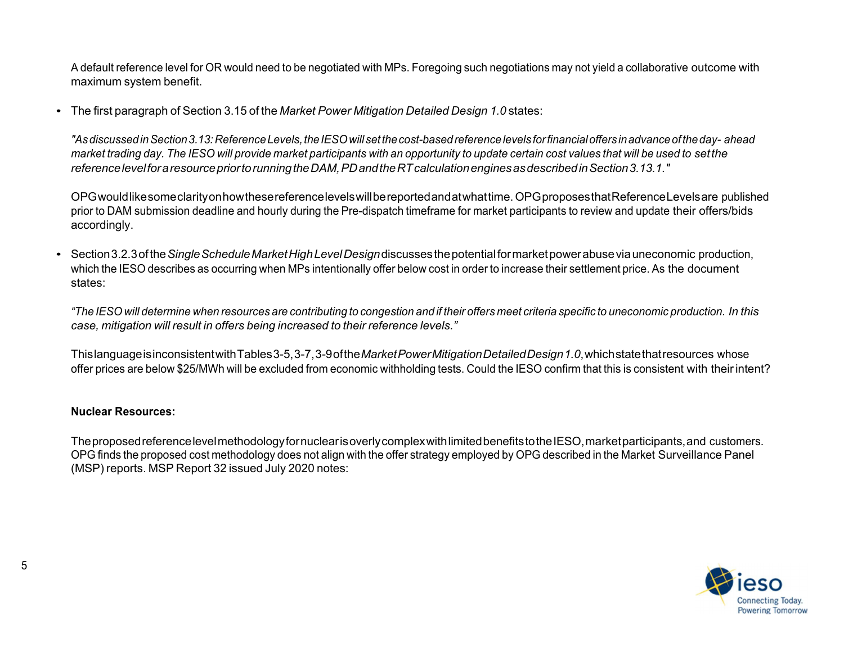A default reference level for OR would need to be negotiated with MPs. Foregoing such negotiations may not yield a collaborative outcome with maximum system benefit.

• The first paragraph of Section 3.15 of the *Market Power Mitigation Detailed Design 1.0* states:

*"AsdiscussedinSection3.13:ReferenceLevels,theIESOwillsetthecost-basedreferencelevels for financialoffersinadvanceoftheday- ahead* market trading day. The IESO will provide market participants with an opportunity to update certain cost values that will be used to set the *referencelevelfor a resource priortorunningtheDAM,PDandtheRTcalculationenginesasdescribedinSection3.13.1."*

OPGwouldlikesomeclarityonhowthesereferencelevelswillbereportedandatwhattime.OPGproposesthatReferenceLevelsare published prior to DAM submission deadline and hourly during the Pre-dispatch timeframe for market participants to review and update their offers/bids accordingly.

• Section3.2.3ofthe*SingleScheduleMarketHighLevelDesign*discussesthepotentialformarketpowerabuseviauneconomic production, which the IESO describes as occurring when MPs intentionally offer below cost in order to increase their settlement price. As the document states:

"The IESO will determine when resources are contributing to congestion and if their offers meet criteria specific to uneconomic production. In this *case, mitigation will result in offers being increased to their reference levels."*

ThislanguageisinconsistentwithTables 3-5, 3-7, 3-9 ofthe*MarketPowerMitigationDetailedDesign1.0*, whichstatethatresources whose offer prices are below \$25/MWh will be excluded from economic withholding tests. Could the IESO confirm that this is consistent with theirintent?

#### **Nuclear Resources:**

TheproposedreferencelevelmethodologyfornuclearisoverlycomplexwithlimitedbenefitstotheIESO,marketparticipants,and customers. OPG finds the proposed cost methodology does not align with the offer strategy employed by OPG described in the Market Surveillance Panel (MSP) reports. MSP Report 32 issued July 2020 notes:

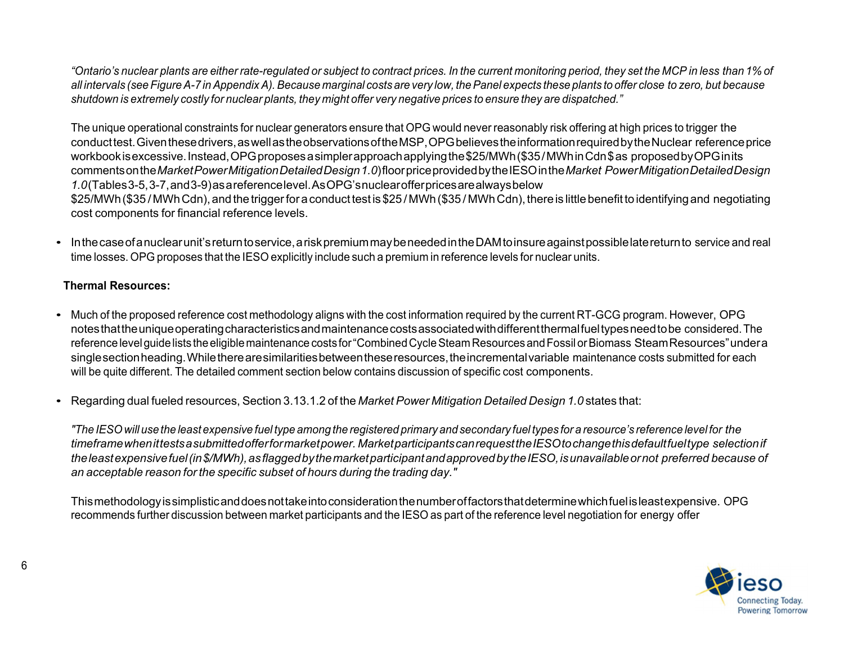"Ontario's nuclear plants are either rate-regulated or subject to contract prices. In the current monitoring period, they set the MCP in less than 1% of all intervals (see Figure A-7 in Appendix A). Because marginal costs are very low, the Panel expects these plants to offer close to zero, but because shutdown is extremely costly for nuclear plants, they might offer very negative prices to ensure they are dispatched."

The unique operational constraints for nuclear generators ensure that OPG would never reasonably risk offering at high prices to trigger the conducttest.Giventhese drivers, aswellastheobservationsofthe MSP, OPGbelievestheinformationrequiredbytheNuclear referenceprice workbook is excessive. Instead, OPG proposes a simpler approach applying the \$25/MWh (\$35/MWh in Cdn \$ as proposed by OPG in its commentsonthe*MarketPowerMitigationDetailedDesign1.0*) floor price providedbythe IESO inthe*Market PowerMitigationDetailedDesign 1.0*(Tables 3-5, 3-7,and 3-9)as a referencelevel. As OPG'snuclearofferprices are alwaysbelow \$25/MWh (\$35/MWh Cdn), and the trigger for a conduct test is \$25/MWh (\$35/MWh Cdn), there is little benefit to identifying and negotiating cost components for financial reference levels.

• Inthe case of a nuclear unit's return to service, a risk premium may be needed in the DAM to insure against possible late return to service and real time losses. OPG proposes that the IESO explicitly include such a premium in reference levels for nuclear units.

## **Thermal Resources:**

- Much of the proposed reference cost methodology aligns with the cost information required by the current RT-GCG program. However, OPG notes that the unique operating characteristics and maintenance costs associated with different thermal fueltypes need to be considered. The reference level guide lists the eligible maintenance costs for "Combined Cycle Steam Resources and Fossil or Biomass Steam Resources" under a singlesectionheading.Whilethere are similaritiesbetweentheseresources,theincrementalvariable maintenance costs submitted for each will be quite different. The detailed comment section below contains discussion of specific cost components.
- Regarding dual fueled resources, Section 3.13.1.2 of the *Market Power Mitigation Detailed Design 1.0* states that:

"The IESO will use the least expensive fuel type among the registered primary and secondary fuel types for a resource's reference level for the *timeframewhenittests a submittedofferformarketpower. Marketparticipantscanrequestthe IESO tochangethisdefaultfueltype selectionif theleastexpensivefuel(in\$/MWh),asflaggedbythemarketparticipantandapprovedbythe IESO, isunavailableornot preferred because of an acceptable reason for the specific subset of hours during the trading day."*

Thismethodologyissimplisticanddoesnottakeintoconsiderationthenumberoffactorsthatdeterminewhichfuelisleastexpensive. OPG recommends further discussion between market participants and the IESO as part of the reference level negotiation for energy offer

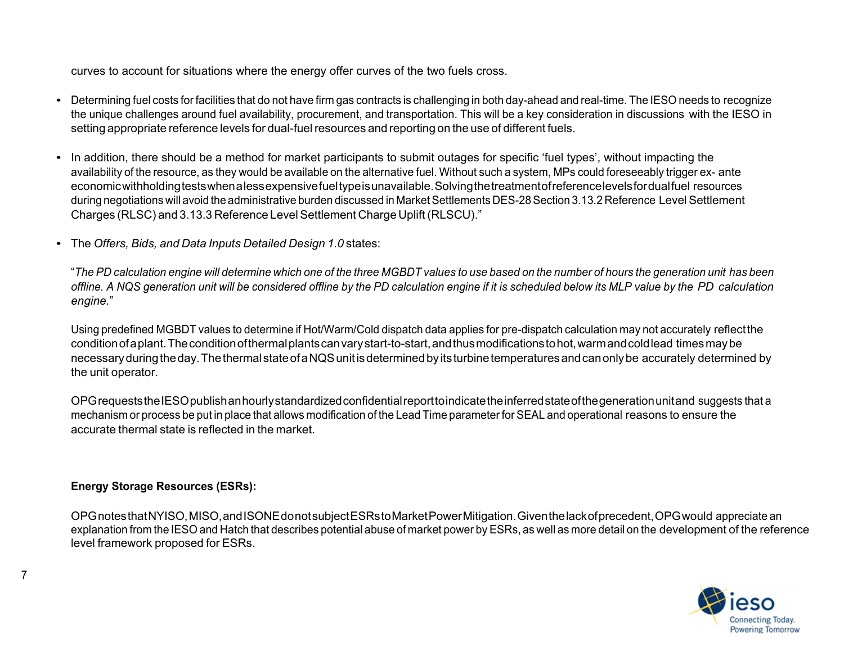curves to account for situations where the energy offer curves of the two fuels cross.

- Determining fuel costs for facilities that do not have firm gas contracts is challenging in both day-ahead and real-time. The IESO needs to recognize the unique challenges around fuel availability, procurement, and transportation. This will be a key consideration in discussions with the IESO in setting appropriate reference levels for dual-fuel resources and reporting on the use of different fuels.
- In addition, there should be a method for market participants to submit outages for specific 'fuel types', without impacting the availability of the resource, as they would be available on the alternative fuel. Without such a system, MPs could foreseeably trigger ex- ante economicwithholdingtestswhen a lessexpensivefueltypeisunavailable.Solvingthetreatmentofreferencelevelsfordualfuel resources during negotiations will avoid the administrative burden discussed in Market Settlements DES-28 Section 3.13.2 Reference Level Settlement Charges (RLSC) and 3.13.3 Reference Level Settlement Charge Uplift (RLSCU)."
- The *Offers, Bids, and Data Inputs Detailed Design 1.0* states:

"The PD calculation engine will determine which one of the three MGBDT values to use based on the number of hours the generation unit has been offline. A NQS generation unit will be considered offline by the PD calculation engine if it is scheduled below its MLP value by the PD calculation *engine.*"

Using predefined MGBDT values to determine if Hot/Warm/Cold dispatch data applies for pre-dispatch calculation may not accurately reflectthe conditionof a plant.Theconditionofthermalplantscanvarystart-to-start,andthusmodificationstohot,warmandcoldlead timesmaybe necessary during the day. The thermal state of a NQS unit is determined by its turbine temperatures and can only be accurately determined by the unit operator.

OPGrequeststhe IESO publishanhourlystandardizedconfidentialreporttoindicatetheinferredstateofthegenerationunitand suggests that a mechanism or process be put in place that allows modification of the Lead Time parameterfor SEAL and operational reasons to ensure the accurate thermal state is reflected in the market.

# **Energy Storage Resources (ESRs):**

7

OPGnotesthat NYISO, MISO,andISONEdonotsubject ESRs toMarketPowerMitigation.Giventhelackofprecedent,OPGwould appreciate an explanation from the IESO and Hatch that describes potential abuse of market power by ESRs, as well as more detail on the development of the reference level framework proposed for ESRs.

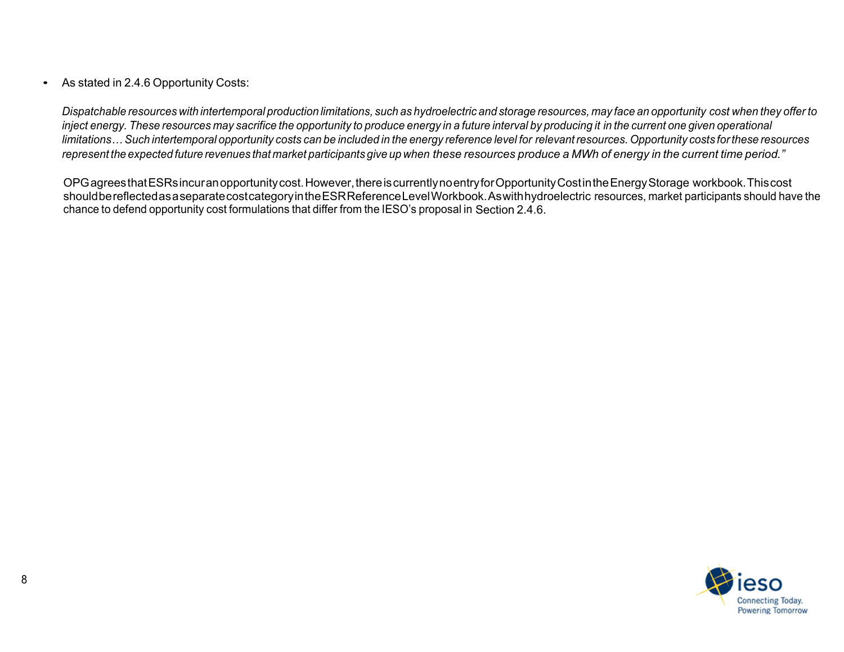## • As stated in 2.4.6 Opportunity Costs:

Dispatchable resources with intertemporal production limitations, such as hydroelectric and storage resources, may face an opportunity cost when they offer to inject energy. These resources may sacrifice the opportunity to produce energy in a future interval by producing it in the current one given operational limitations... Such intertemporal opportunity costs can be included in the energy reference level for relevant resources. Opportunity costs for these resources represent the expected future revenues that market participants give up when these resources produce a MWh of energy in the current time period."

OPGagreesthat ESRs incuranopportunitycost.However,thereiscurrentlynoentryforOpportunityCostintheEnergyStorage workbook.Thiscost shouldbereflectedas a separatecostcategoryinthe ESR ReferenceLevelWorkbook. As withhydroelectric resources, market participants should have the chance to defend opportunity cost formulations that differ from the IESO's proposal in Section 2.4.6.

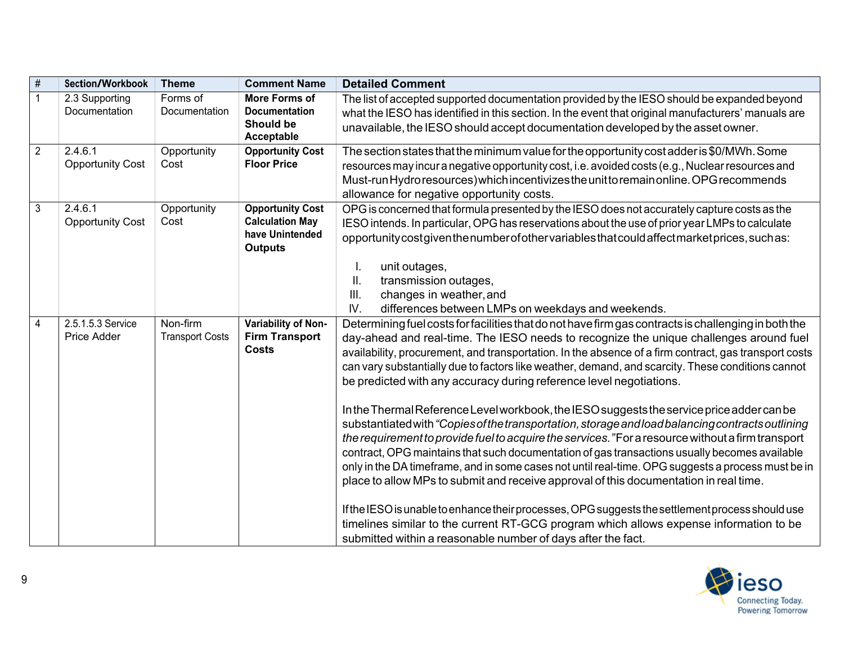| $\overline{\#}$ | <b>Section/Workbook</b>            | <b>Theme</b>                       | <b>Comment Name</b>                                                                    | <b>Detailed Comment</b>                                                                                                                                                                                                                                                                                                                                                                                                                                                                                                                                                                                                                                                                                                                                                                                                                                                                                                                                                                                                                                                                                                                                                                                                                                                                                                                                 |
|-----------------|------------------------------------|------------------------------------|----------------------------------------------------------------------------------------|---------------------------------------------------------------------------------------------------------------------------------------------------------------------------------------------------------------------------------------------------------------------------------------------------------------------------------------------------------------------------------------------------------------------------------------------------------------------------------------------------------------------------------------------------------------------------------------------------------------------------------------------------------------------------------------------------------------------------------------------------------------------------------------------------------------------------------------------------------------------------------------------------------------------------------------------------------------------------------------------------------------------------------------------------------------------------------------------------------------------------------------------------------------------------------------------------------------------------------------------------------------------------------------------------------------------------------------------------------|
|                 | 2.3 Supporting<br>Documentation    | Forms of<br>Documentation          | More Forms of<br><b>Documentation</b><br><b>Should be</b><br>Acceptable                | The list of accepted supported documentation provided by the IESO should be expanded beyond<br>what the IESO has identified in this section. In the event that original manufacturers' manuals are<br>unavailable, the IESO should accept documentation developed by the asset owner.                                                                                                                                                                                                                                                                                                                                                                                                                                                                                                                                                                                                                                                                                                                                                                                                                                                                                                                                                                                                                                                                   |
| $\overline{2}$  | 2.4.6.1<br><b>Opportunity Cost</b> | Opportunity<br>Cost                | <b>Opportunity Cost</b><br><b>Floor Price</b>                                          | The section states that the minimum value for the opportunity cost adder is \$0/MWh. Some<br>resources may incur a negative opportunity cost, i.e. avoided costs (e.g., Nuclear resources and<br>Must-run Hydro resources) which incentivizes the unit to remain online. OPG recommends<br>allowance for negative opportunity costs.                                                                                                                                                                                                                                                                                                                                                                                                                                                                                                                                                                                                                                                                                                                                                                                                                                                                                                                                                                                                                    |
| 3               | 2.4.6.1<br><b>Opportunity Cost</b> | Opportunity<br>Cost                | <b>Opportunity Cost</b><br><b>Calculation May</b><br>have Unintended<br><b>Outputs</b> | OPG is concerned that formula presented by the IESO does not accurately capture costs as the<br>IESO intends. In particular, OPG has reservations about the use of prior year LMPs to calculate<br>opportunity cost given the number of other variables that could affect market prices, such as:<br>unit outages,<br>ΙΙ.<br>transmission outages,<br>III.<br>changes in weather, and<br>IV.<br>differences between LMPs on weekdays and weekends.                                                                                                                                                                                                                                                                                                                                                                                                                                                                                                                                                                                                                                                                                                                                                                                                                                                                                                      |
| 4               | 2.5.1.5.3 Service<br>Price Adder   | Non-firm<br><b>Transport Costs</b> | Variability of Non-<br><b>Firm Transport</b><br><b>Costs</b>                           | Determining fuel costs for facilities that do not have firm gas contracts is challenging in both the<br>day-ahead and real-time. The IESO needs to recognize the unique challenges around fuel<br>availability, procurement, and transportation. In the absence of a firm contract, gas transport costs<br>can vary substantially due to factors like weather, demand, and scarcity. These conditions cannot<br>be predicted with any accuracy during reference level negotiations.<br>In the Thermal Reference Level workbook, the IESO suggests the service price adder can be<br>substantiated with "Copies of the transportation, storage and load balancing contracts outlining<br>the requirement to provide fuel to acquire the services. "For a resource without a firm transport<br>contract, OPG maintains that such documentation of gas transactions usually becomes available<br>only in the DA timeframe, and in some cases not until real-time. OPG suggests a process must be in<br>place to allow MPs to submit and receive approval of this documentation in real time.<br>If the IESO is unable to enhance their processes, OPG suggests the settlement process should use<br>timelines similar to the current RT-GCG program which allows expense information to be<br>submitted within a reasonable number of days after the fact. |

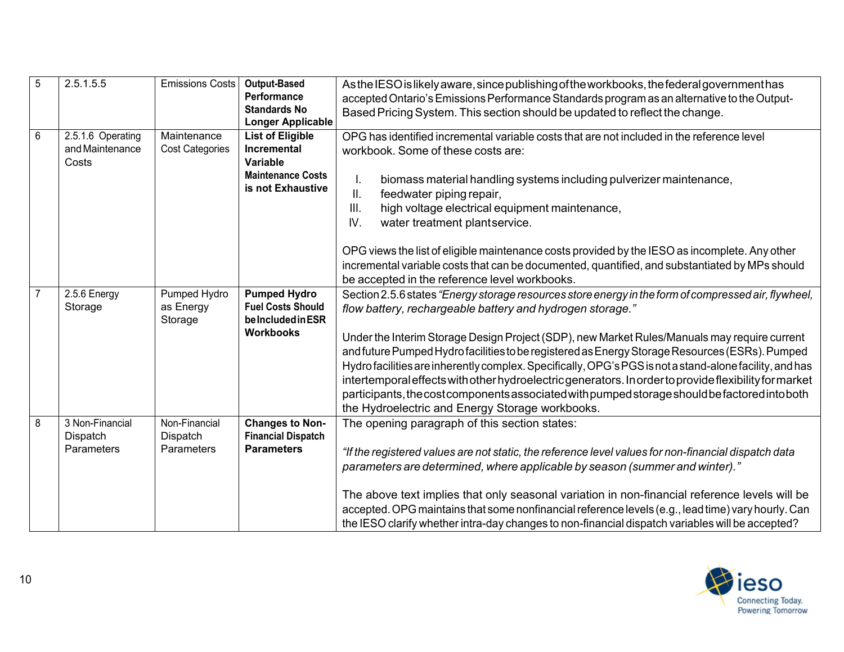| 5              | 2.5.1.5.5                                     | Emissions Costs                             | <b>Output-Based</b><br><b>Performance</b><br><b>Standards No</b>                                                                | As the IESO is likely aware, since publishing of the workbooks, the federal government has<br>accepted Ontario's Emissions Performance Standards program as an alternative to the Output-<br>Based Pricing System. This section should be updated to reflect the change.                                                                                                                                                                                                                                                                                                                                                                                                                                                                                                                     |
|----------------|-----------------------------------------------|---------------------------------------------|---------------------------------------------------------------------------------------------------------------------------------|----------------------------------------------------------------------------------------------------------------------------------------------------------------------------------------------------------------------------------------------------------------------------------------------------------------------------------------------------------------------------------------------------------------------------------------------------------------------------------------------------------------------------------------------------------------------------------------------------------------------------------------------------------------------------------------------------------------------------------------------------------------------------------------------|
| 6              | 2.5.1.6 Operating<br>and Maintenance<br>Costs | Maintenance<br><b>Cost Categories</b>       | <b>Longer Applicable</b><br><b>List of Eligible</b><br>Incremental<br>Variable<br><b>Maintenance Costs</b><br>is not Exhaustive | OPG has identified incremental variable costs that are not included in the reference level<br>workbook. Some of these costs are:<br>biomass material handling systems including pulverizer maintenance,<br>feedwater piping repair,<br>Ш.<br>III.<br>high voltage electrical equipment maintenance,<br>IV.<br>water treatment plantservice.<br>OPG views the list of eligible maintenance costs provided by the IESO as incomplete. Any other<br>incremental variable costs that can be documented, quantified, and substantiated by MPs should                                                                                                                                                                                                                                              |
| $\overline{7}$ | 2.5.6 Energy<br>Storage                       | <b>Pumped Hydro</b><br>as Energy<br>Storage | <b>Pumped Hydro</b><br><b>Fuel Costs Should</b><br>be Included in ESR<br><b>Workbooks</b>                                       | be accepted in the reference level workbooks.<br>Section 2.5.6 states "Energy storage resources store energy in the form of compressed air, flywheel,<br>flow battery, rechargeable battery and hydrogen storage."<br>Under the Interim Storage Design Project (SDP), new Market Rules/Manuals may require current<br>and future Pumped Hydro facilities to be registered as Energy Storage Resources (ESRs). Pumped<br>Hydro facilities are inherently complex. Specifically, OPG's PGS is not a stand-alone facility, and has<br>intertemporal effects with other hydroelectric generators. In order to provide flexibility for market<br>participants, the cost components associated with pumped storage should be factored into both<br>the Hydroelectric and Energy Storage workbooks. |
| 8              | 3 Non-Financial<br>Dispatch<br>Parameters     | Non-Financial<br>Dispatch<br>Parameters     | <b>Changes to Non-</b><br><b>Financial Dispatch</b><br><b>Parameters</b>                                                        | The opening paragraph of this section states:<br>"If the registered values are not static, the reference level values for non-financial dispatch data<br>parameters are determined, where applicable by season (summer and winter)."<br>The above text implies that only seasonal variation in non-financial reference levels will be<br>accepted. OPG maintains that some nonfinancial reference levels (e.g., lead time) vary hourly. Can<br>the IESO clarify whether intra-day changes to non-financial dispatch variables will be accepted?                                                                                                                                                                                                                                              |